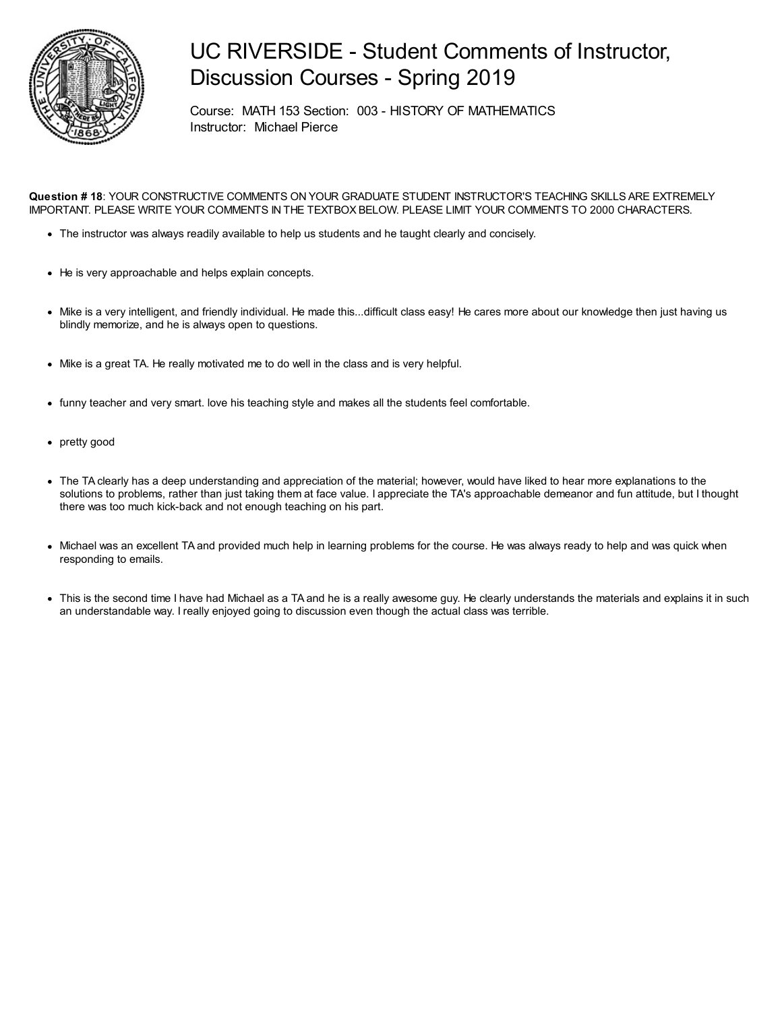

## UC RIVERSIDE - Student Comments of Instructor, Discussion Courses - Spring 2019

Course: MATH 153 Section: 003 - HISTORY OF MATHEMATICS Instructor: Michael Pierce

**Question # 18**: YOUR CONSTRUCTIVE COMMENTS ON YOUR GRADUATE STUDENT INSTRUCTOR'S TEACHING SKILLS ARE EXTREMELY IMPORTANT. PLEASE WRITE YOUR COMMENTS IN THE TEXTBOX BELOW. PLEASE LIMIT YOUR COMMENTS TO 2000 CHARACTERS.

- The instructor was always readily available to help us students and he taught clearly and concisely.
- He is very approachable and helps explain concepts.
- Mike is a very intelligent, and friendly individual. He made this...difficult class easy! He cares more about our knowledge then just having us blindly memorize, and he is always open to questions.
- Mike is a great TA. He really motivated me to do well in the class and is very helpful.
- funny teacher and very smart. love his teaching style and makes all the students feel comfortable.
- pretty good
- The TA clearly has a deep understanding and appreciation of the material; however, would have liked to hear more explanations to the solutions to problems, rather than just taking them at face value. I appreciate the TA's approachable demeanor and fun attitude, but I thought there was too much kick-back and not enough teaching on his part.
- Michael was an excellent TA and provided much help in learning problems for the course. He was always ready to help and was quick when responding to emails.
- This is the second time I have had Michael as a TA and he is a really awesome guy. He clearly understands the materials and explains it in such an understandable way. I really enjoyed going to discussion even though the actual class was terrible.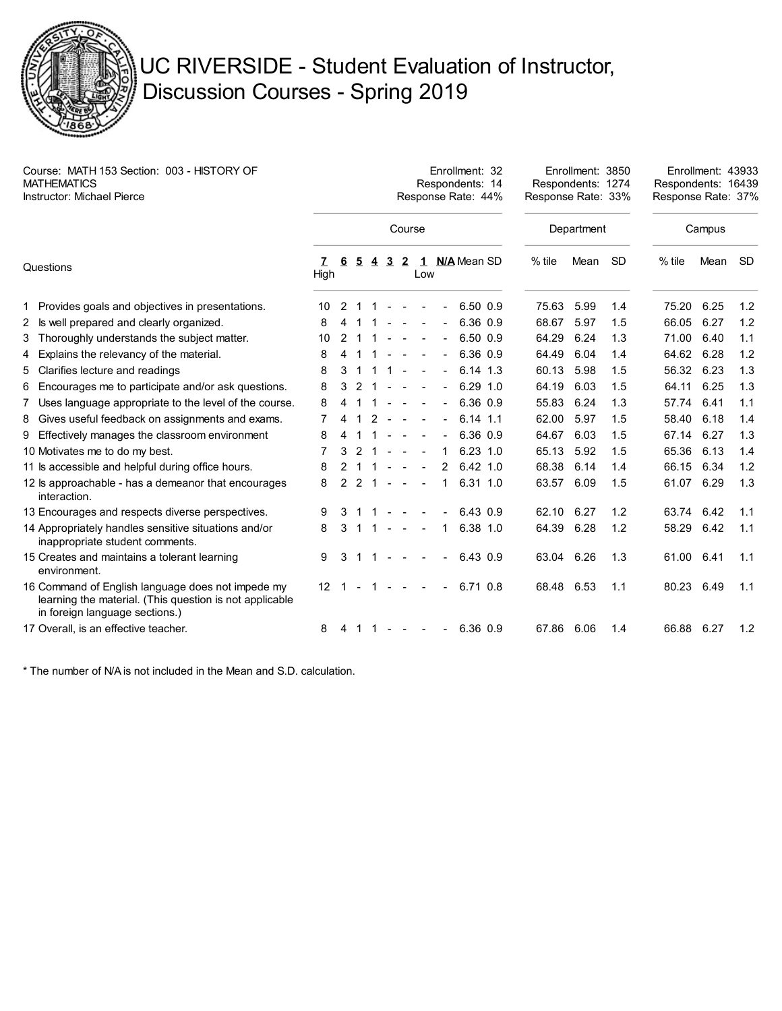

## UC RIVERSIDE - Student Evaluation of Instructor, Discussion Courses - Spring 2019

| Course: MATH 153 Section: 003 - HISTORY OF<br><b>MATHEMATICS</b><br><b>Instructor: Michael Pierce</b> |                                                                                                                                                |                   | Enrollment: 32<br>Respondents: 14<br>Response Rate: 44% |               |               |                |                         |                |   |                |  |              |            | Enrollment: 3850<br>Respondents: 1274<br>Response Rate: 33% |           | Enrollment: 43933<br>Respondents: 16439<br>Response Rate: 37% |      |           |
|-------------------------------------------------------------------------------------------------------|------------------------------------------------------------------------------------------------------------------------------------------------|-------------------|---------------------------------------------------------|---------------|---------------|----------------|-------------------------|----------------|---|----------------|--|--------------|------------|-------------------------------------------------------------|-----------|---------------------------------------------------------------|------|-----------|
|                                                                                                       |                                                                                                                                                | Course            |                                                         |               |               |                |                         |                |   |                |  |              |            | Department                                                  |           | Campus                                                        |      |           |
| Questions                                                                                             |                                                                                                                                                | 7<br>High         | 6                                                       | 5             | 4             | $\overline{3}$ | $\mathbf{2}$            | Low            |   | 1 N/A Mean SD  |  |              | $%$ tile   | Mean                                                        | <b>SD</b> | $%$ tile                                                      | Mean | <b>SD</b> |
|                                                                                                       | 1 Provides goals and objectives in presentations.                                                                                              | 10                | 2                                                       |               |               |                |                         |                |   |                |  | $6.50\;0.9$  | 75.63      | 5.99                                                        | 1.4       | 75.20                                                         | 6.25 | 1.2       |
|                                                                                                       | 2 Is well prepared and clearly organized.                                                                                                      | 8                 | 4                                                       |               |               |                |                         |                |   |                |  | 6.36 0.9     | 68.67      | 5.97                                                        | 1.5       | 66.05                                                         | 6.27 | 1.2       |
|                                                                                                       | 3 Thoroughly understands the subject matter.                                                                                                   | 10                | 2                                                       |               |               |                |                         |                |   | $\blacksquare$ |  | $6.50$ $0.9$ | 64.29      | 6.24                                                        | 1.3       | 71.00                                                         | 6.40 | 1.1       |
|                                                                                                       | 4 Explains the relevancy of the material.                                                                                                      | 8                 | 4                                                       |               |               |                |                         |                |   |                |  | 6.36 0.9     | 64.49      | 6.04                                                        | 1.4       | 64.62                                                         | 6.28 | 1.2       |
|                                                                                                       | 5 Clarifies lecture and readings                                                                                                               | 8                 | 3                                                       |               |               |                |                         |                |   | $\blacksquare$ |  | $6.14$ 1.3   | 60.13      | 5.98                                                        | 1.5       | 56.32                                                         | 6.23 | 1.3       |
|                                                                                                       | 6 Encourages me to participate and/or ask questions.                                                                                           | 8                 | 3                                                       | $\mathcal{L}$ |               |                |                         |                |   | $\blacksquare$ |  | $6.29$ 1.0   | 64.19      | 6.03                                                        | 1.5       | 64.11                                                         | 6.25 | 1.3       |
|                                                                                                       | 7 Uses language appropriate to the level of the course.                                                                                        | 8                 | 4                                                       |               |               |                | $\sim$                  | $\blacksquare$ |   | $\blacksquare$ |  | 6.36 0.9     | 55.83      | 6.24                                                        | 1.3       | 57.74                                                         | 6.41 | 1.1       |
|                                                                                                       | 8 Gives useful feedback on assignments and exams.                                                                                              | 7                 | 4                                                       |               | $\mathcal{P}$ | $\sim$         | $\sim$                  |                |   | $\blacksquare$ |  | $6.14$ 1.1   | 62.00      | 5.97                                                        | 1.5       | 58.40                                                         | 6.18 | 1.4       |
|                                                                                                       | 9 Effectively manages the classroom environment                                                                                                | 8                 |                                                         |               |               |                |                         |                |   |                |  | 6.36 0.9     | 64.67      | 6.03                                                        | 1.5       | 67.14                                                         | 6.27 | 1.3       |
|                                                                                                       | 10 Motivates me to do my best.                                                                                                                 | 7                 | 3                                                       | 2             |               |                |                         |                | 1 |                |  | $6.23$ 1.0   | 65.13      | 5.92                                                        | 1.5       | 65.36                                                         | 6.13 | 1.4       |
|                                                                                                       | 11 ls accessible and helpful during office hours.                                                                                              | 8                 | 2                                                       |               |               |                | $\sim$                  |                |   | 2              |  | 6.42 1.0     | 68.38      | 6.14                                                        | 1.4       | 66.15                                                         | 6.34 | 1.2       |
|                                                                                                       | 12 ls approachable - has a demeanor that encourages<br>interaction.                                                                            | 8                 | $\mathcal{P}$                                           | 2 1           |               | $\sim$         | $\sim$                  |                |   | 1              |  | 6.31 1.0     | 63.57      | 6.09                                                        | 1.5       | 61.07                                                         | 6.29 | 1.3       |
|                                                                                                       | 13 Encourages and respects diverse perspectives.                                                                                               | 9                 |                                                         |               |               |                |                         |                |   |                |  | 6.43 0.9     | 62.10      | 6.27                                                        | 1.2       | 63.74                                                         | 6.42 | 1.1       |
|                                                                                                       | 14 Appropriately handles sensitive situations and/or<br>inappropriate student comments.                                                        | 8                 | 3                                                       | -1            | 1             |                | $\sim 100$ km s $^{-1}$ |                |   | 1              |  | 6.38 1.0     | 64.39      | 6.28                                                        | 1.2       | 58.29                                                         | 6.42 | 1.1       |
|                                                                                                       | 15 Creates and maintains a tolerant learning<br>environment.                                                                                   | 9                 | 3                                                       |               | 1             |                | $\blacksquare$          |                |   | $\blacksquare$ |  | 6.43 0.9     | 63.04      | 6.26                                                        | 1.3       | 61.00                                                         | 6.41 | 1.1       |
|                                                                                                       | 16 Command of English language does not impede my<br>learning the material. (This question is not applicable<br>in foreign language sections.) | $12 \overline{ }$ |                                                         |               |               |                |                         |                |   |                |  | 6.71 0.8     | 68.48 6.53 |                                                             | 1.1       | 80.23                                                         | 6.49 | 1.1       |
|                                                                                                       | 17 Overall, is an effective teacher.                                                                                                           | 8                 | 4                                                       | 1.            | 1             |                | <b>Service Control</b>  |                |   | $\blacksquare$ |  | 6.36 0.9     | 67.86      | 6.06                                                        | 1.4       | 66.88 6.27                                                    |      | 1.2       |

\* The number of N/A is not included in the Mean and S.D. calculation.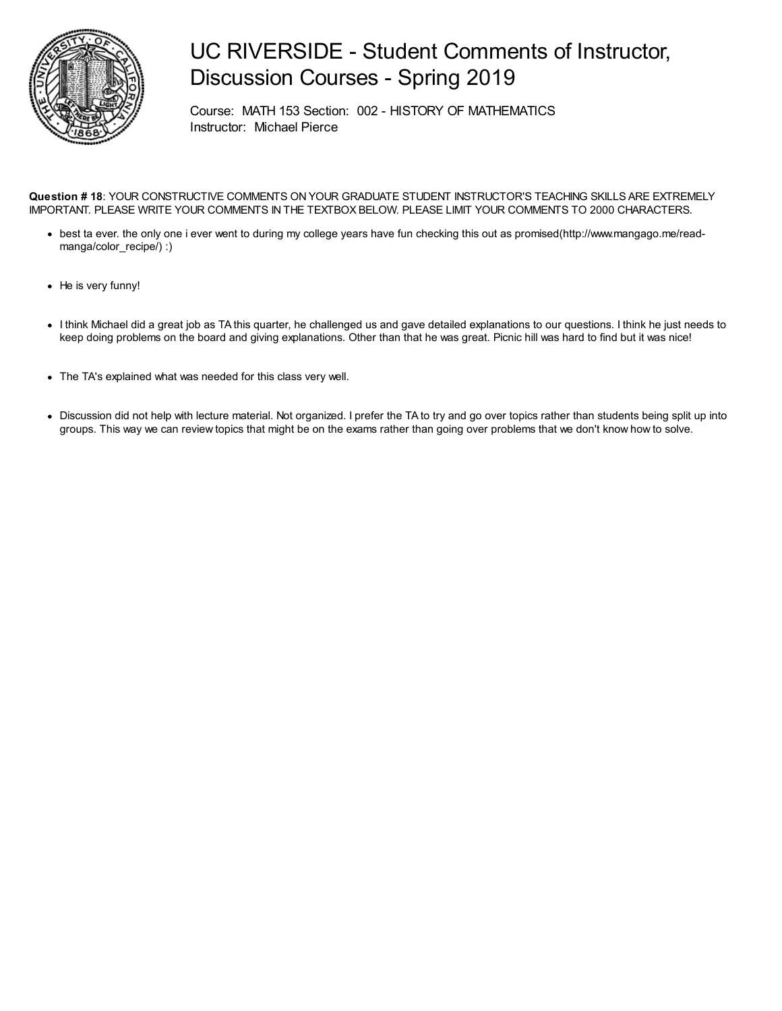

## UC RIVERSIDE - Student Comments of Instructor, Discussion Courses - Spring 2019

Course: MATH 153 Section: 002 - HISTORY OF MATHEMATICS Instructor: Michael Pierce

**Question # 18**: YOUR CONSTRUCTIVE COMMENTS ON YOUR GRADUATE STUDENT INSTRUCTOR'S TEACHING SKILLS ARE EXTREMELY IMPORTANT. PLEASE WRITE YOUR COMMENTS IN THE TEXTBOX BELOW. PLEASE LIMIT YOUR COMMENTS TO 2000 CHARACTERS.

- best ta ever. the only one i ever went to during my college years have fun checking this out as promised(http://www.mangago.me/readmanga/color\_recipe/) :)
- He is very funny!
- I think Michael did a great job as TA this quarter, he challenged us and gave detailed explanations to our questions. I think he just needs to keep doing problems on the board and giving explanations. Other than that he was great. Picnic hill was hard to find but it was nice!
- The TA's explained what was needed for this class very well.
- Discussion did not help with lecture material. Not organized. I prefer the TA to try and go over topics rather than students being split up into groups. This way we can review topics that might be on the exams rather than going over problems that we don't know how to solve.